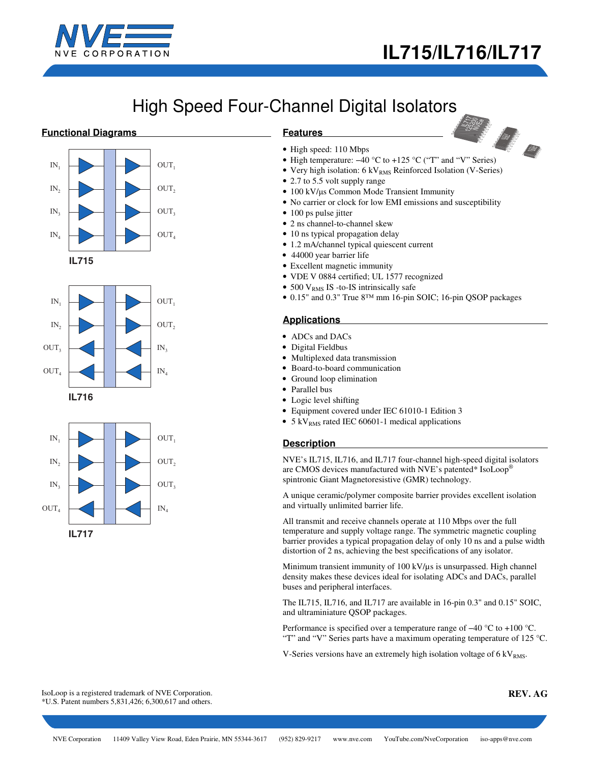

# High Speed Four-Channel Digital Isolators

## **Functional Diagrams**







## **Features**



- High speed: 110 Mbps
- 
- Very high isolation:  $6 \text{ kV}_{RMS}$  Reinforced Isolation (V-Series)
- 2.7 to 5.5 volt supply range
- 100 kV/μs Common Mode Transient Immunity
- No carrier or clock for low EMI emissions and susceptibility
- 100 ps pulse jitter
- 2 ns channel-to-channel skew
- 10 ns typical propagation delay
- 1.2 mA/channel typical quiescent current
- 44000 year barrier life
- Excellent magnetic immunity
- VDE V 0884 certified; UL 1577 recognized
- 500  $V<sub>RMS</sub>$  IS -to-IS intrinsically safe
- 0.15" and 0.3" True 8™ mm 16-pin SOIC; 16-pin QSOP packages

## **Applications**

- ADCs and DACs
- Digital Fieldbus
- Multiplexed data transmission
- Board-to-board communication
- Ground loop elimination
- Parallel bus
- Logic level shifting
- Equipment covered under IEC 61010-1 Edition 3
- 5 kV<sub>RMS</sub> rated IEC 60601-1 medical applications

## **Description**

NVE's IL715, IL716, and IL717 four-channel high-speed digital isolators are CMOS devices manufactured with NVE's patented\* IsoLoop® spintronic Giant Magnetoresistive (GMR) technology.

A unique ceramic/polymer composite barrier provides excellent isolation and virtually unlimited barrier life.

All transmit and receive channels operate at 110 Mbps over the full temperature and supply voltage range. The symmetric magnetic coupling barrier provides a typical propagation delay of only 10 ns and a pulse width distortion of 2 ns, achieving the best specifications of any isolator.

Minimum transient immunity of 100 kV/ $\mu$ s is unsurpassed. High channel density makes these devices ideal for isolating ADCs and DACs, parallel buses and peripheral interfaces.

The IL715, IL716, and IL717 are available in 16-pin 0.3" and 0.15" SOIC, and ultraminiature QSOP packages.

Performance is specified over a temperature range of –40 °C to +100 °C. "T" and "V" Series parts have a maximum operating temperature of 125  $^{\circ}$ C.

V-Series versions have an extremely high isolation voltage of  $6 \, \text{kV}_{RMS}$ .

IsoLoop is a registered trademark of NVE Corporation. \*U.S. Patent numbers 5,831,426; 6,300,617 and others.

**REV. AG**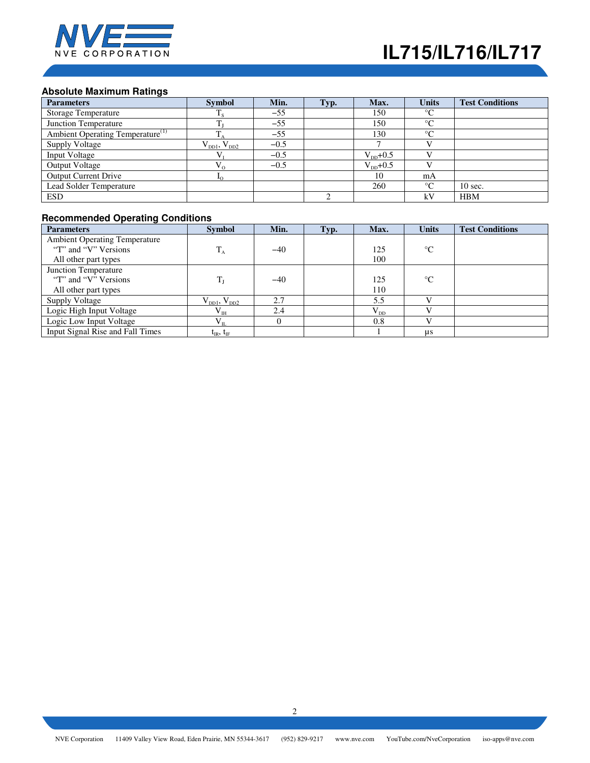

# **Absolute Maximum Ratings**

| <b>Parameters</b>                            | <b>Symbol</b>         | Min.   | Typ. | Max.                 | <b>Units</b> | <b>Test Conditions</b> |
|----------------------------------------------|-----------------------|--------|------|----------------------|--------------|------------------------|
| <b>Storage Temperature</b>                   | $T_{\rm s}$           | $-55$  |      | 150                  | $\circ$      |                        |
| Junction Temperature                         |                       | $-55$  |      | 150                  | $\circ$      |                        |
| Ambient Operating Temperature <sup>(1)</sup> |                       | $-55$  |      | 130                  | $\circ$      |                        |
| <b>Supply Voltage</b>                        | $V_{DD1}$ , $V_{DD2}$ | $-0.5$ |      |                      |              |                        |
| Input Voltage                                |                       | $-0.5$ |      | $V_{DD}$ +0.5        |              |                        |
| <b>Output Voltage</b>                        | $V_{\alpha}$          | $-0.5$ |      | $V_{\text{nn}}$ +0.5 |              |                        |
| <b>Output Current Drive</b>                  | ⊥∩                    |        |      | 10                   | mA           |                        |
| Lead Solder Temperature                      |                       |        |      | 260                  | $\circ$      | $10 \text{ sec.}$      |
| <b>ESD</b>                                   |                       |        |      |                      | kV           | <b>HBM</b>             |

## **Recommended Operating Conditions**

| <b>Parameters</b>                    | <b>Symbol</b>                       | Min.  | Typ. | Max.     | <b>Units</b>    | <b>Test Conditions</b> |
|--------------------------------------|-------------------------------------|-------|------|----------|-----------------|------------------------|
| <b>Ambient Operating Temperature</b> |                                     |       |      |          |                 |                        |
| "T" and "V" Versions"                | $T_A$                               | $-40$ |      | 125      | $^{\circ}C$     |                        |
| All other part types                 |                                     |       |      | 100      |                 |                        |
| Junction Temperature                 |                                     |       |      |          |                 |                        |
| "T" and "V" Versions"                | $T_{\rm J}$                         | $-40$ |      | 125      | $\rm ^{\circ}C$ |                        |
| All other part types                 |                                     |       |      | 110      |                 |                        |
| <b>Supply Voltage</b>                | $V_{\text{DD1}}$ , $V_{\text{DD2}}$ | 2.7   |      | 5.5      |                 |                        |
| Logic High Input Voltage             | $V_{IH}$                            | 2.4   |      | $V_{DD}$ |                 |                        |
| Logic Low Input Voltage              | $V_{IL}$                            |       |      | 0.8      |                 |                        |
| Input Signal Rise and Fall Times     | $t_{IR}$ , $t_{IF}$                 |       |      |          | $\mu s$         |                        |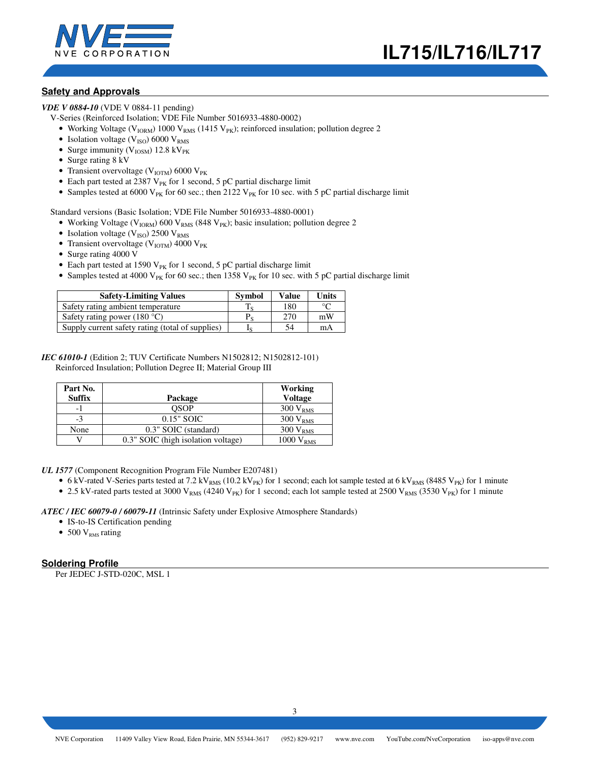

## **Safety and Approvals**

*VDE V 0884-10* (VDE V 0884-11 pending)

V-Series (Reinforced Isolation; VDE File Number 5016933-4880-0002)

- Working Voltage (V<sub>IORM</sub>) 1000 V<sub>RMS</sub> (1415 V<sub>PK</sub>); reinforced insulation; pollution degree 2
- Isolation voltage ( $V_{ISO}$ ) 6000  $V_{RMS}$
- Surge immunity ( $V_{IOSM}$ ) 12.8 kV<sub>PK</sub>
- Surge rating 8 kV
- Transient overvoltage ( $V_{IOTM}$ ) 6000  $V_{PK}$
- Each part tested at 2387  $V_{PK}$  for 1 second, 5 pC partial discharge limit
- Samples tested at 6000 V<sub>PK</sub> for 60 sec.; then 2122 V<sub>PK</sub> for 10 sec. with 5 pC partial discharge limit

Standard versions (Basic Isolation; VDE File Number 5016933-4880-0001)

- Working Voltage ( $V_{IORM}$ ) 600 V<sub>RMS</sub> (848 V<sub>PK</sub>); basic insulation; pollution degree 2
- Isolation voltage ( $V_{ISO}$ ) 2500  $V_{RMS}$
- Transient overvoltage ( $V_{IOTM}$ ) 4000  $V_{PK}$
- Surge rating 4000 V
- Each part tested at 1590  $V_{PK}$  for 1 second, 5 pC partial discharge limit
- Samples tested at 4000 V<sub>PK</sub> for 60 sec.; then 1358 V<sub>PK</sub> for 10 sec. with 5 pC partial discharge limit

| <b>Safety-Limiting Values</b>                    | <b>Symbol</b> | <b>Value</b> | Units   |
|--------------------------------------------------|---------------|--------------|---------|
| Safety rating ambient temperature                |               | 180          | $\circ$ |
| Safety rating power $(180 °C)$                   |               | 270          | mW      |
| Supply current safety rating (total of supplies) |               | 54           | mA      |

### *IEC 61010-1* (Edition 2; TUV Certificate Numbers N1502812; N1502812-101) Reinforced Insulation; Pollution Degree II; Material Group III

| Part No.      |                                    | Working               |
|---------------|------------------------------------|-----------------------|
| <b>Suffix</b> | Package                            | <b>Voltage</b>        |
| - 1           | <b>OSOP</b>                        | $300 V_{RMS}$         |
| $-3$          | $0.15"$ SOIC                       | $300 V_{RMS}$         |
| None          | 0.3" SOIC (standard)               | $300 V_{RMS}$         |
|               | 0.3" SOIC (high isolation voltage) | 1000 V <sub>RMS</sub> |

*UL 1577* (Component Recognition Program File Number E207481)

- 6 kV-rated V-Series parts tested at 7.2 kV<sub>RMS</sub> (10.2 kV<sub>PK</sub>) for 1 second; each lot sample tested at 6 kV<sub>RMS</sub> (8485 V<sub>PK</sub>) for 1 minute
- 2.5 kV-rated parts tested at 3000 V<sub>RMS</sub> (4240 V<sub>PK</sub>) for 1 second; each lot sample tested at 2500 V<sub>RMS</sub> (3530 V<sub>PK</sub>) for 1 minute

*ATEC / IEC 60079-0 / 60079-11* (Intrinsic Safety under Explosive Atmosphere Standards)

- IS-to-IS Certification pending
- 500  $V<sub>RMS</sub>$  rating

## **Soldering Profile**

Per JEDEC J-STD-020C, MSL 1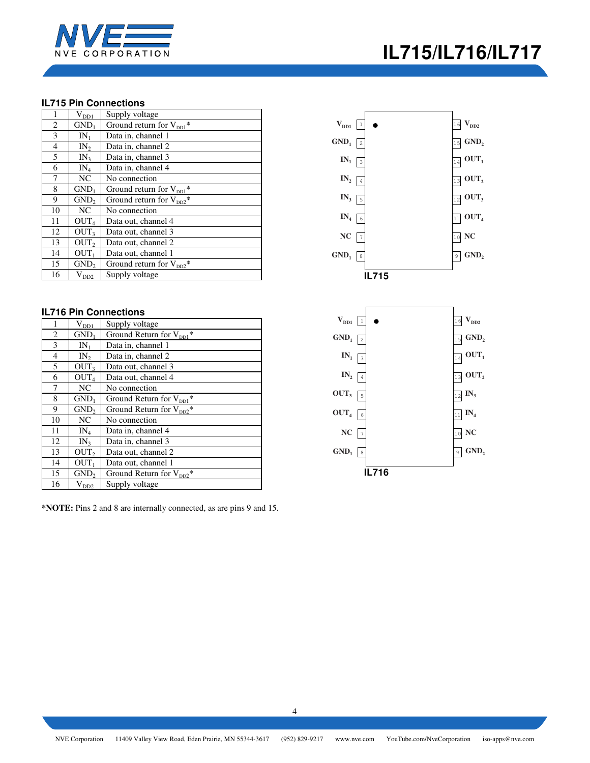

## **IL715 Pin Connections**

| 1  | $\rm V_{D\underline{D}1}$ | Supply voltage                       |
|----|---------------------------|--------------------------------------|
| 2  | GND <sub>1</sub>          | Ground return for $V_{\text{DD1}}$ * |
| 3  | $IN_1$                    | Data in, channel 1                   |
| 4  | $IN_{2}$                  | Data in, channel 2                   |
| 5  | IN <sub>3</sub>           | Data in, channel 3                   |
| 6  | $IN_4$                    | Data in, channel 4                   |
| 7  | NC                        | No connection                        |
| 8  | GND <sub>1</sub>          | Ground return for $V_{\text{DD1}}^*$ |
| 9  | GND <sub>2</sub>          | Ground return for $V_{DD2}^*$        |
| 10 | NC                        | No connection                        |
| 11 | OUT <sub>4</sub>          | Data out, channel 4                  |
| 12 | OUT <sub>3</sub>          | Data out, channel 3                  |
| 13 | OUT <sub>2</sub>          | Data out, channel 2                  |
| 14 | OUT <sub>1</sub>          | Data out, channel 1                  |
| 15 | GND <sub>2</sub>          | Ground return for $V_{DD2}^*$        |
| 16 | $V_{DD2}$                 | Supply voltage                       |

## **IL716 Pin Connections**

| 1              | $\rm V_{\rm D21}$ | Supply voltage                       |
|----------------|-------------------|--------------------------------------|
| 2              | GND <sub>1</sub>  | Ground Return for V <sub>DD1</sub> * |
| 3              | $IN_1$            | Data in, channel 1                   |
| $\overline{4}$ | IN <sub>2</sub>   | Data in, channel 2                   |
| 5              | OUT <sub>3</sub>  | Data out, channel 3                  |
| 6              | OUT <sub>4</sub>  | Data out, channel 4                  |
| 7              | NC                | No connection                        |
| 8              | GND <sub>1</sub>  | Ground Return for $V_{\text{DD1}}^*$ |
| 9              | GND <sub>2</sub>  | Ground Return for $V_{DD2}^*$        |
| 10             | NC.               | No connection                        |
| 11             | $IN_4$            | Data in, channel 4                   |
| 12             | IN <sub>3</sub>   | Data in, channel 3                   |
| 13             | OUT <sub>2</sub>  | Data out, channel 2                  |
| 14             | OUT <sub>1</sub>  | Data out, channel 1                  |
| 15             | GND <sub>2</sub>  | Ground Return for $V_{DD2}^*$        |
| 16             | $V_{DD2}$         | Supply voltage                       |

**\*NOTE:** Pins 2 and 8 are internally connected, as are pins 9 and 15.

### $\mathbf{V}_{\text{DD1}}$ **GND**<sub>1</sub>  $\boxed{2}$   $\boxed{15}$  **GND**<sub>2</sub>  $\overline{13}$  **OUT**<sub>2</sub>  $\overline{12}$   $\overline{\text{OUT}}_3$  $\mathbf{IN}_{1}$   $\begin{bmatrix} 3 \end{bmatrix}$  **OUT**<sub>1</sub>  $IN_2$   $\boxed{4}$ **IN<sup>3</sup>** 16  $V_{DD2}$  $IN_4$ <sup>6</sup> **NC 10 NC**  $\overline{11}$   $\overline{OUT}_4$ **GND**<sub>1</sub> 8 **GND**<sub>2</sub> 1  $GND_1$  2  $IN_1$   $\boxed{3}$ 5 7  $\boxed{9}$  GND<sub>2</sub>  **IL715**   $\mathbf{V}_{\mathbf{DD1}}$  1 **GND**<sub>1</sub>  $\boxed{2}$   $\boxed{15}$  **GND**<sub>2</sub>  $\overline{13}$  **OUT**<sub>2</sub> **OUT<sup>3</sup>** 5  $\mathbf{IN}_{1}$  **OUT**<sub>1</sub>  $IN_2$ <sup>4</sup>  $\overline{12}$  **IN**<sub>3</sub> 16  $V_{DD2}$  $\overline{11}$  **IN**<sub>4</sub> **NC** |7 | 10 **NC OUT<sup>4</sup>** 6 **GND**<sub>1</sub> **a g GND**<sub>2</sub>  $GND_1$  2  $IN_1$  3 NC  $\boxed{7}$  $GND_1$  8  **IL716**

# **IL715/IL716/IL717**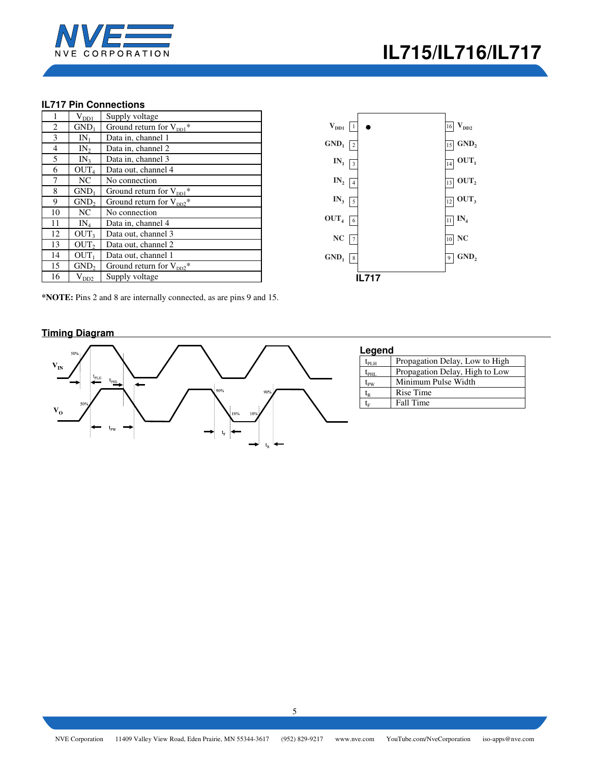

## **IL717 Pin Connections**

| 1  | $V_{DDI}$        | Supply voltage                                  |
|----|------------------|-------------------------------------------------|
| 2  | GND <sub>1</sub> | Ground return for $V_{\text{DD1}}$ <sup>*</sup> |
| 3  | $IN_1$           | Data in, channel 1                              |
| 4  | IN <sub>2</sub>  | Data in, channel 2                              |
| 5  | IN <sub>3</sub>  | Data in, channel 3                              |
| 6  | OUT <sub>4</sub> | Data out, channel 4                             |
| 7  | NC               | No connection                                   |
| 8  | $GND_1$          | Ground return for $V_{DD1}$ *                   |
| 9  | GND <sub>2</sub> | Ground return for $V_{DD2}^*$                   |
| 10 | NC               | No connection                                   |
| 11 | $IN_4$           | Data in, channel 4                              |
| 12 | OUT <sub>3</sub> | Data out, channel 3                             |
| 13 | OUT <sub>2</sub> | Data out, channel 2                             |
| 14 | OUT <sub>1</sub> | Data out, channel 1                             |
| 15 | GND <sub>2</sub> | Ground return for $V_{DD2}^*$                   |
| 16 | $\rm V_{DD2}$    | Supply voltage                                  |



**\*NOTE:** Pins 2 and 8 are internally connected, as are pins 9 and 15.

## **Timing Diagram**



| Legend                                         |                                |  |  |  |  |  |
|------------------------------------------------|--------------------------------|--|--|--|--|--|
| $\mathfrak{t}_{\texttt{PLH}}$                  | Propagation Delay, Low to High |  |  |  |  |  |
| $\mathfrak{t}_{\text{PHI}}$                    | Propagation Delay, High to Low |  |  |  |  |  |
| $\rm t_{\scriptscriptstyle PW}$                | Minimum Pulse Width            |  |  |  |  |  |
| $\mathfrak{t}_{\scriptscriptstyle\mathrm{R}}$  | Rise Time                      |  |  |  |  |  |
| $\mathfrak{t}_{\scriptscriptstyle \mathrm{E}}$ | Fall Time                      |  |  |  |  |  |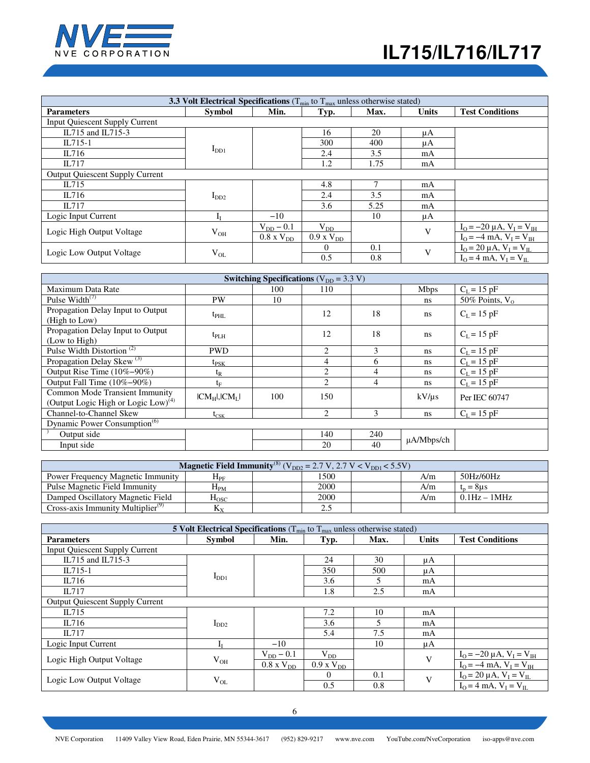

| 3.3 Volt Electrical Specifications ( $T_{min}$ to $T_{max}$ unless otherwise stated) |               |                     |                     |      |              |                                                                                                                                       |  |  |
|--------------------------------------------------------------------------------------|---------------|---------------------|---------------------|------|--------------|---------------------------------------------------------------------------------------------------------------------------------------|--|--|
| <b>Parameters</b>                                                                    | <b>Symbol</b> | Min.                | Typ.                | Max. | <b>Units</b> | <b>Test Conditions</b>                                                                                                                |  |  |
| <b>Input Quiescent Supply Current</b>                                                |               |                     |                     |      |              |                                                                                                                                       |  |  |
| IL715 and IL715-3                                                                    |               |                     | 16                  | 20   | μA           |                                                                                                                                       |  |  |
| $IL715-1$                                                                            |               |                     | 300                 | 400  | μA           |                                                                                                                                       |  |  |
| IL716                                                                                | $I_{DD1}$     |                     | 2.4                 | 3.5  | mA           |                                                                                                                                       |  |  |
| IL717                                                                                |               |                     | 1.2                 | 1.75 | mA           |                                                                                                                                       |  |  |
| <b>Output Quiescent Supply Current</b>                                               |               |                     |                     |      |              |                                                                                                                                       |  |  |
| IL715                                                                                |               |                     | 4.8                 | ┑    | mA           |                                                                                                                                       |  |  |
| IL716                                                                                | $I_{DD2}$     |                     | 2.4                 | 3.5  | mA           |                                                                                                                                       |  |  |
| IL717                                                                                |               |                     | 3.6                 | 5.25 | mA           |                                                                                                                                       |  |  |
| Logic Input Current                                                                  | Īт            | $-10$               |                     | 10   | μA           |                                                                                                                                       |  |  |
| Logic High Output Voltage                                                            |               | $V_{DD}$ – 0.1      | $V_{DD}$            |      | V            | $I_{\text{O}} = -20 \mu \text{A}$ , $V_{\text{I}} = V_{\text{IH}}$<br>$I_{\text{O}} = -4 \text{ mA}$ , $V_{\text{I}} = V_{\text{IH}}$ |  |  |
|                                                                                      | $V_{OH}$      | $0.8 \times V_{DD}$ | $0.9 \times V_{DD}$ |      |              |                                                                                                                                       |  |  |
| Logic Low Output Voltage                                                             |               |                     | $\Omega$            | 0.1  | V            | $I_O = 20 \mu A$ , $V_I = V_{IL}$                                                                                                     |  |  |
|                                                                                      | $V_{OL}$      |                     | 0.5                 | 0.8  |              | $I_{O} = 4$ mA, $V_{I} = V_{II}$                                                                                                      |  |  |

| Switching Specifications ( $V_{DD} = 3.3 V$ )                                     |                     |     |                |     |                 |                   |  |  |
|-----------------------------------------------------------------------------------|---------------------|-----|----------------|-----|-----------------|-------------------|--|--|
| Maximum Data Rate                                                                 |                     | 100 | 110            |     | <b>Mbps</b>     | $C_{L} = 15$ pF   |  |  |
| Pulse Width <sup>(7)</sup>                                                        | <b>PW</b>           | 10  |                |     | <sub>ns</sub>   | 50% Points, $V_0$ |  |  |
| Propagation Delay Input to Output<br>(High to Low)                                | $t_{\rm PHL}$       |     | 12             | 18  | ns              | $C_L = 15 pF$     |  |  |
| Propagation Delay Input to Output<br>(Low to High)                                | $t_{\rm PLH}$       |     | 12             | 18  | ns              | $C_L = 15$ pF     |  |  |
| Pulse Width Distortion <sup>(2)</sup>                                             | <b>PWD</b>          |     | 2              | 3   | <sub>ns</sub>   | $C_L = 15 pF$     |  |  |
| Propagation Delay Skew $^{(3)}$                                                   | $t_{PSK}$           |     | $\overline{4}$ | 6   | ns              | $C_L = 15$ pF     |  |  |
| Output Rise Time (10%-90%)                                                        | $t_{R}$             |     | 2              | 4   | ns              | $C_L = 15$ pF     |  |  |
| Output Fall Time (10%-90%)                                                        | $t_{\rm F}$         |     | $\overline{2}$ | 4   | ns              | $C_L = 15 pF$     |  |  |
| Common Mode Transient Immunity<br>(Output Logic High or Logic Low) <sup>(4)</sup> | $ CM_H $ , $ CM_L $ | 100 | 150            |     | kV/us           | Per IEC 60747     |  |  |
| Channel-to-Channel Skew                                                           | $t_{\text{CSK}}$    |     | 2              | 3   | ns              | $C_{L} = 15$ pF   |  |  |
| Dynamic Power Consumption <sup>(6)</sup>                                          |                     |     |                |     |                 |                   |  |  |
| Output side                                                                       |                     |     | 140            | 240 |                 |                   |  |  |
| Input side                                                                        |                     |     | 20             | 40  | $\mu$ A/Mbps/ch |                   |  |  |

| <b>Magnetic Field Immunity</b> <sup>(8)</sup> ( $V_{DD2} = 2.7$ V, 2.7 V < $V_{DD1}$ < 5.5V) |                    |  |      |  |     |                              |  |  |
|----------------------------------------------------------------------------------------------|--------------------|--|------|--|-----|------------------------------|--|--|
| Power Frequency Magnetic Immunity                                                            | ${\rm H}_{\rm PF}$ |  | 1500 |  | A/m | 50Hz/60Hz                    |  |  |
| Pulse Magnetic Field Immunity                                                                | $\rm H_{PM}$       |  | 2000 |  | A/m | $t_n = 8$ us                 |  |  |
| Damped Oscillatory Magnetic Field                                                            | $_{\mathrm{Hosc}}$ |  | 2000 |  | A/m | $0.1\text{Hz} - 1\text{MHz}$ |  |  |
| Cross-axis Immunity Multiplier <sup>(9)</sup>                                                | Кv                 |  | 2.5  |  |     |                              |  |  |

| <b>5 Volt Electrical Specifications</b> ( $T_{min}$ to $T_{max}$ unless otherwise stated) |               |                     |                  |        |              |                                    |  |  |
|-------------------------------------------------------------------------------------------|---------------|---------------------|------------------|--------|--------------|------------------------------------|--|--|
| <b>Parameters</b>                                                                         | <b>Symbol</b> | Min.                | Typ.             | Max.   | <b>Units</b> | <b>Test Conditions</b>             |  |  |
| Input Quiescent Supply Current                                                            |               |                     |                  |        |              |                                    |  |  |
| IL715 and IL715-3                                                                         |               |                     | 24               | 30     | μA           |                                    |  |  |
| $IL715-1$                                                                                 |               |                     | 350              | 500    | μA           |                                    |  |  |
| IL716                                                                                     | $I_{DD1}$     |                     | 3.6              | 5      | mA           |                                    |  |  |
| IL717                                                                                     |               |                     | 1.8              | 2.5    | mA           |                                    |  |  |
| <b>Output Quiescent Supply Current</b>                                                    |               |                     |                  |        |              |                                    |  |  |
| IL715                                                                                     |               |                     | 7.2              | 10     | mA           |                                    |  |  |
| IL716                                                                                     | $I_{DD2}$     |                     | 3.6              | $\sim$ | mA           |                                    |  |  |
| IL717                                                                                     |               |                     | 5.4              | 7.5    | mA           |                                    |  |  |
| Logic Input Current                                                                       | Iт            | $-10$               |                  | 10     | μA           |                                    |  |  |
| Logic High Output Voltage                                                                 |               | $V_{DD}$ – 0.1      | $V_{DD}$         |        | V            | $I_0 = -20 \mu A$ , $V_I = V_{IH}$ |  |  |
|                                                                                           | $V_{OH}$      | $0.8 \times V_{DD}$ | $0.9$ x $V_{DD}$ |        |              | $I_{O} = -4$ mA, $V_{I} = V_{IH}$  |  |  |
| Logic Low Output Voltage                                                                  |               |                     | $\theta$         | 0.1    | V            | $I_0 = 20 \mu A$ , $V_I = V_{IL}$  |  |  |
|                                                                                           | $V_{OL}$      |                     | 0.5              | 0.8    |              | $I_O = 4$ mA, $V_I = V_{II}$       |  |  |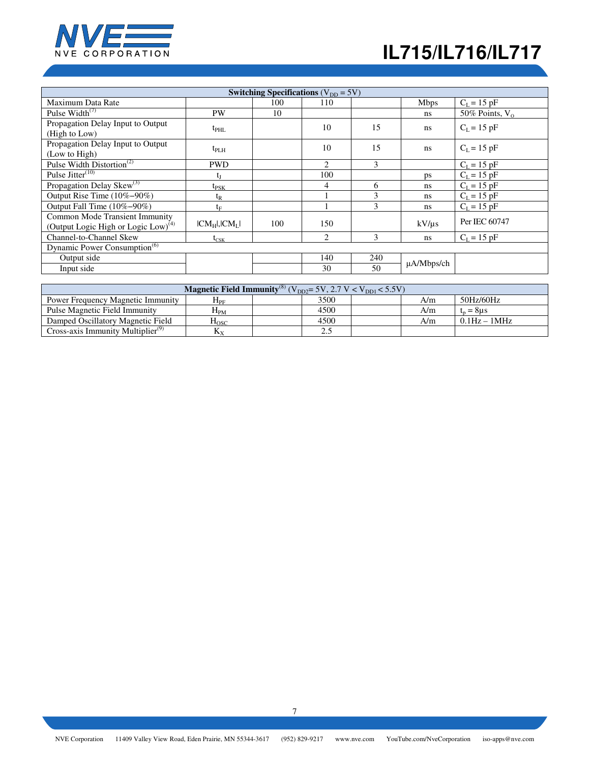

| Switching Specifications ( $V_{DD} = 5V$ )                                        |                     |     |                |               |                 |                   |  |
|-----------------------------------------------------------------------------------|---------------------|-----|----------------|---------------|-----------------|-------------------|--|
| Maximum Data Rate                                                                 |                     | 100 | 110            |               | <b>Mbps</b>     | $C_L = 15 pF$     |  |
| Pulse Width $(7)$                                                                 | PW                  | 10  |                |               | ns              | 50% Points, $V_0$ |  |
| Propagation Delay Input to Output<br>(High to Low)                                | $t_{\rm PHL}$       |     | 10             | 15            | <sub>ns</sub>   | $C_L = 15$ pF     |  |
| Propagation Delay Input to Output<br>(Low to High)                                | $t_{\rm PLH}$       |     | 10             | 15            | <sub>ns</sub>   | $C_L = 15$ pF     |  |
| Pulse Width Distortion <sup>(2)</sup>                                             | <b>PWD</b>          |     | 2              | $\mathcal{F}$ |                 | $C_L = 15 pF$     |  |
| Pulse Jitter $(10)$                                                               | t                   |     | 100            |               | ps              | $C_L = 15 pF$     |  |
| Propagation Delay Skew <sup>(3)</sup>                                             | $t_{PSK}$           |     | 4              | 6             | ns              | $C_L = 15 pF$     |  |
| Output Rise Time (10%-90%)                                                        | $t_{R}$             |     |                | 3             | ns              | $C_L = 15 pF$     |  |
| Output Fall Time (10%-90%)                                                        | $t_F$               |     |                | 3             | ns              | $C_L = 15 pF$     |  |
| Common Mode Transient Immunity<br>(Output Logic High or Logic Low) <sup>(4)</sup> | $ CM_H $ , $ CM_L $ | 100 | 150            |               | kV/us           | Per IEC 60747     |  |
| Channel-to-Channel Skew                                                           | $t_{\rm CSK}$       |     | $\overline{c}$ | 3             | ns              | $C_{L} = 15$ pF   |  |
| Dynamic Power Consumption <sup>(6)</sup>                                          |                     |     |                |               |                 |                   |  |
| Output side                                                                       |                     |     | 140            | 240           | $\mu$ A/Mbps/ch |                   |  |
| Input side                                                                        |                     |     | 30             | 50            |                 |                   |  |

| <b>Magnetic Field Immunity</b> <sup>(8)</sup> ( $\overline{V}_{DD2}$ = 5V, 2.7 V < $V_{DD1}$ < 5.5V) |                       |  |      |  |     |                              |
|------------------------------------------------------------------------------------------------------|-----------------------|--|------|--|-----|------------------------------|
| <b>Power Frequency Magnetic Immunity</b>                                                             | ${\rm H}_{\rm PF}$    |  | 3500 |  | A/m | 50Hz/60Hz                    |
| Pulse Magnetic Field Immunity                                                                        | $H_{PM}$              |  | 4500 |  | A/m | $t_n = 8\mu s$               |
| Damped Oscillatory Magnetic Field                                                                    | $_{\mathrm{H_{OSC}}}$ |  | 4500 |  | A/m | $0.1\text{Hz} - 1\text{MHz}$ |
| Cross-axis Immunity Multiplier <sup>(9)</sup>                                                        | $\rm K_{\rm x}$       |  | ن ک  |  |     |                              |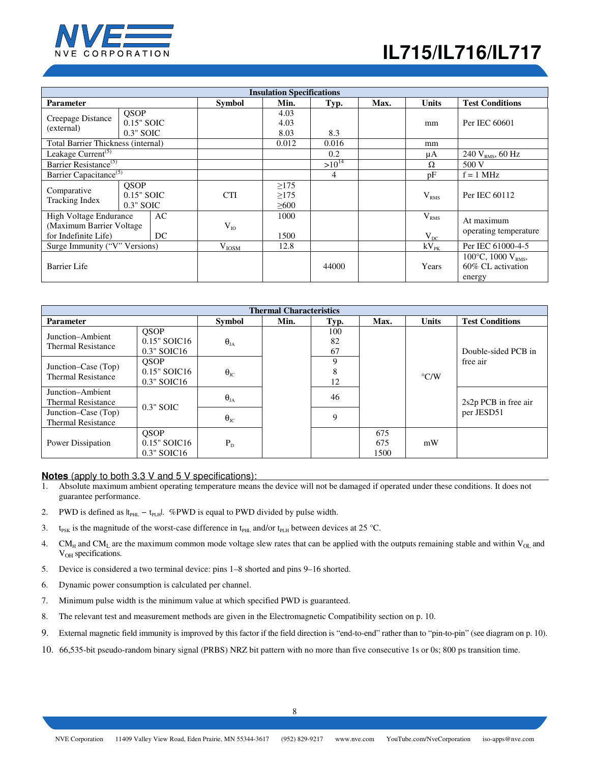

| <b>Insulation Specifications</b>                                           |                                          |            |               |                                        |            |           |                                                                  |                                     |
|----------------------------------------------------------------------------|------------------------------------------|------------|---------------|----------------------------------------|------------|-----------|------------------------------------------------------------------|-------------------------------------|
| <b>Parameter</b>                                                           |                                          |            | <b>Symbol</b> | Min.                                   | Typ.       | Max.      | <b>Units</b>                                                     | <b>Test Conditions</b>              |
| Creepage Distance<br>(external)                                            | <b>OSOP</b><br>0.15" SOIC<br>$0.3"$ SOIC |            |               | 4.03<br>4.03<br>8.03                   | 8.3        |           | mm                                                               | Per IEC 60601                       |
| Total Barrier Thickness (internal)                                         |                                          |            |               | 0.012                                  | 0.016      |           | mm                                                               |                                     |
| Leakage Current <sup>(5)</sup>                                             |                                          |            |               |                                        | 0.2        |           | μA                                                               | 240 $V_{RMS}$ , 60 Hz               |
| Barrier Resistance <sup>(5)</sup>                                          |                                          |            |               |                                        | $>10^{14}$ |           | Ω                                                                | 500 V                               |
| Barrier Capacitance <sup>(5)</sup>                                         |                                          |            |               | 4                                      |            | pF        | $f = 1$ MHz                                                      |                                     |
| Comparative<br>Tracking Index                                              | <b>OSOP</b><br>0.15" SOIC<br>$0.3"$ SOIC |            | <b>CTI</b>    | $\geq$ 175<br>$\geq$ 175<br>$\geq 600$ |            |           | V <sub>RMS</sub>                                                 | Per IEC 60112                       |
| High Voltage Endurance<br>(Maximum Barrier Voltage<br>for Indefinite Life) | AC<br>DC.                                |            | $V_{IO}$      | 1000<br>1500                           |            |           | V <sub>RMS</sub><br>$V_{DC}$                                     | At maximum<br>operating temperature |
| Surge Immunity ("V" Versions)                                              |                                          | $V_{IOSM}$ | 12.8          |                                        |            | $kV_{PK}$ | Per IEC 61000-4-5                                                |                                     |
| Barrier Life                                                               |                                          |            |               | 44000                                  |            | Years     | $100^{\circ}$ C, $1000 V_{RMS}$ ,<br>60% CL activation<br>energy |                                     |

| <b>Thermal Characteristics</b>                   |                                                |                         |      |                 |                    |                                |                        |  |
|--------------------------------------------------|------------------------------------------------|-------------------------|------|-----------------|--------------------|--------------------------------|------------------------|--|
| <b>Parameter</b>                                 |                                                | Symbol                  | Min. | Typ.            | Max.               | <b>Units</b>                   | <b>Test Conditions</b> |  |
| Junction-Ambient<br><b>Thermal Resistance</b>    | <b>OSOP</b><br>$0.15"$ SOIC16<br>$0.3"$ SOIC16 | $\theta_{JA}$           |      | 100<br>82<br>67 |                    |                                | Double-sided PCB in    |  |
| Junction–Case (Top)<br><b>Thermal Resistance</b> | <b>OSOP</b><br>$0.15"$ SOIC16<br>$0.3"$ SOIC16 | $\theta_{\text{JC}}$    |      | Q<br>12         |                    | free air<br>$\rm ^{\circ}$ C/W |                        |  |
| Junction-Ambient<br><b>Thermal Resistance</b>    | $0.3"$ SOIC                                    | $\pmb{\theta}_{\rm JA}$ |      | 46              |                    |                                | 2s2p PCB in free air   |  |
| Junction–Case (Top)<br><b>Thermal Resistance</b> |                                                | $\Theta_{\text{JC}}$    |      | 9               |                    |                                | per JESD51             |  |
| Power Dissipation                                | <b>OSOP</b><br>$0.15"$ SOIC16<br>$0.3"$ SOIC16 | $P_{\rm D}$             |      |                 | 675<br>675<br>1500 | mW                             |                        |  |

## **Notes** (apply to both 3.3 V and 5 V specifications):

- 1. Absolute maximum ambient operating temperature means the device will not be damaged if operated under these conditions. It does not guarantee performance.
- 2. PWD is defined as  $|t_{PHL} t_{PLH}|$ . %PWD is equal to PWD divided by pulse width.
- 3. t<sub>PSK</sub> is the magnitude of the worst-case difference in t<sub>PHL</sub> and/or t<sub>PLH</sub> between devices at 25 °C.
- 4. CM<sub>H</sub> and CM<sub>L</sub> are the maximum common mode voltage slew rates that can be applied with the outputs remaining stable and within V<sub>OL</sub> and V<sub>OH</sub> specifications.
- 5. Device is considered a two terminal device: pins 1–8 shorted and pins 9–16 shorted.
- 6. Dynamic power consumption is calculated per channel.
- 7. Minimum pulse width is the minimum value at which specified PWD is guaranteed.
- 8. The relevant test and measurement methods are given in the Electromagnetic Compatibility section on p. 10.
- 9. External magnetic field immunity is improved by this factor if the field direction is "end-to-end" rather than to "pin-to-pin" (see diagram on p. 10).
- 10. 66,535-bit pseudo-random binary signal (PRBS) NRZ bit pattern with no more than five consecutive 1s or 0s; 800 ps transition time.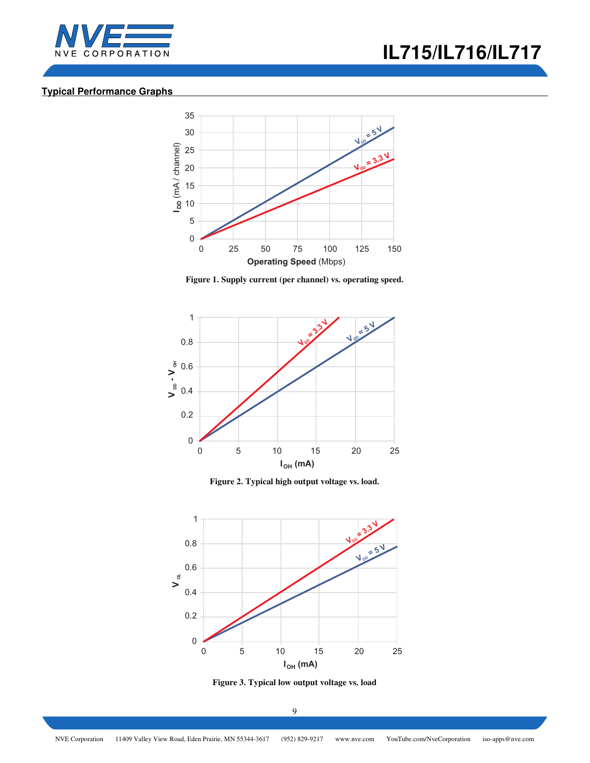



## **Typical Performance Graphs**



**Figure 1. Supply current (per channel) vs. operating speed.** 



**Figure 2. Typical high output voltage vs. load.** 



**Figure 3. Typical low output voltage vs. load**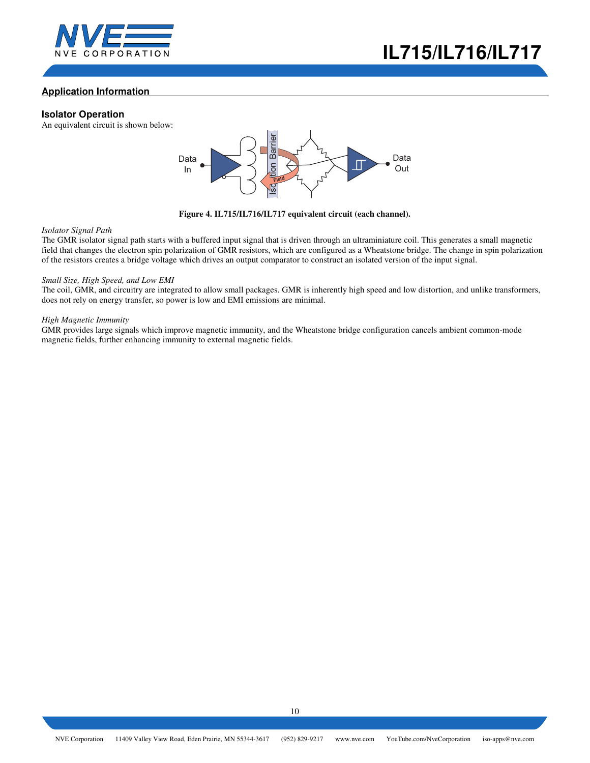



## **Application Information**

### **Isolator Operation**

An equivalent circuit is shown below:



### **Figure 4. IL715/IL716/IL717 equivalent circuit (each channel).**

### *Isolator Signal Path*

The GMR isolator signal path starts with a buffered input signal that is driven through an ultraminiature coil. This generates a small magnetic field that changes the electron spin polarization of GMR resistors, which are configured as a Wheatstone bridge. The change in spin polarization of the resistors creates a bridge voltage which drives an output comparator to construct an isolated version of the input signal.

### *Small Size, High Speed, and Low EMI*

The coil, GMR, and circuitry are integrated to allow small packages. GMR is inherently high speed and low distortion, and unlike transformers, does not rely on energy transfer, so power is low and EMI emissions are minimal.

#### *High Magnetic Immunity*

GMR provides large signals which improve magnetic immunity, and the Wheatstone bridge configuration cancels ambient common-mode magnetic fields, further enhancing immunity to external magnetic fields.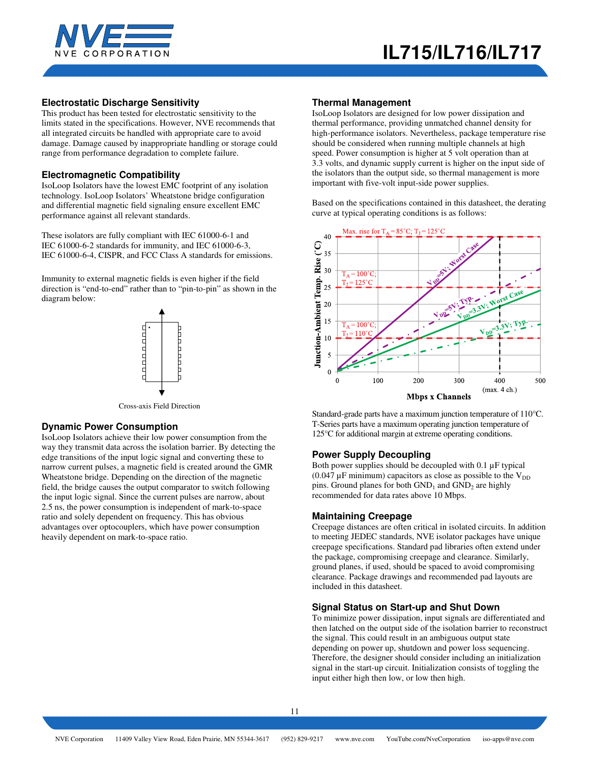



## **Electrostatic Discharge Sensitivity**

This product has been tested for electrostatic sensitivity to the limits stated in the specifications. However, NVE recommends that all integrated circuits be handled with appropriate care to avoid damage. Damage caused by inappropriate handling or storage could range from performance degradation to complete failure.

### **Electromagnetic Compatibility**

IsoLoop Isolators have the lowest EMC footprint of any isolation technology. IsoLoop Isolators' Wheatstone bridge configuration and differential magnetic field signaling ensure excellent EMC performance against all relevant standards.

These isolators are fully compliant with IEC 61000-6-1 and IEC 61000-6-2 standards for immunity, and IEC 61000-6-3, IEC 61000-6-4, CISPR, and FCC Class A standards for emissions.

Immunity to external magnetic fields is even higher if the field direction is "end-to-end" rather than to "pin-to-pin" as shown in the diagram below:



Cross-axis Field Direction

### **Dynamic Power Consumption**

IsoLoop Isolators achieve their low power consumption from the way they transmit data across the isolation barrier. By detecting the edge transitions of the input logic signal and converting these to narrow current pulses, a magnetic field is created around the GMR Wheatstone bridge. Depending on the direction of the magnetic field, the bridge causes the output comparator to switch following the input logic signal. Since the current pulses are narrow, about 2.5 ns, the power consumption is independent of mark-to-space ratio and solely dependent on frequency. This has obvious advantages over optocouplers, which have power consumption heavily dependent on mark-to-space ratio.

#### **Thermal Management**

IsoLoop Isolators are designed for low power dissipation and thermal performance, providing unmatched channel density for high-performance isolators. Nevertheless, package temperature rise should be considered when running multiple channels at high speed. Power consumption is higher at 5 volt operation than at 3.3 volts, and dynamic supply current is higher on the input side of the isolators than the output side, so thermal management is more important with five-volt input-side power supplies.

Based on the specifications contained in this datasheet, the derating curve at typical operating conditions is as follows:



Standard-grade parts have a maximum junction temperature of 110°C. T-Series parts have a maximum operating junction temperature of 125°C for additional margin at extreme operating conditions.

### **Power Supply Decoupling**

Both power supplies should be decoupled with 0.1 µF typical  $(0.047 \mu\text{F}$  minimum) capacitors as close as possible to the  $V_{DD}$ pins. Ground planes for both  $GND_1$  and  $GND_2$  are highly recommended for data rates above 10 Mbps.

### **Maintaining Creepage**

Creepage distances are often critical in isolated circuits. In addition to meeting JEDEC standards, NVE isolator packages have unique creepage specifications. Standard pad libraries often extend under the package, compromising creepage and clearance. Similarly, ground planes, if used, should be spaced to avoid compromising clearance. Package drawings and recommended pad layouts are included in this datasheet.

### **Signal Status on Start-up and Shut Down**

To minimize power dissipation, input signals are differentiated and then latched on the output side of the isolation barrier to reconstruct the signal. This could result in an ambiguous output state depending on power up, shutdown and power loss sequencing. Therefore, the designer should consider including an initialization signal in the start-up circuit. Initialization consists of toggling the input either high then low, or low then high.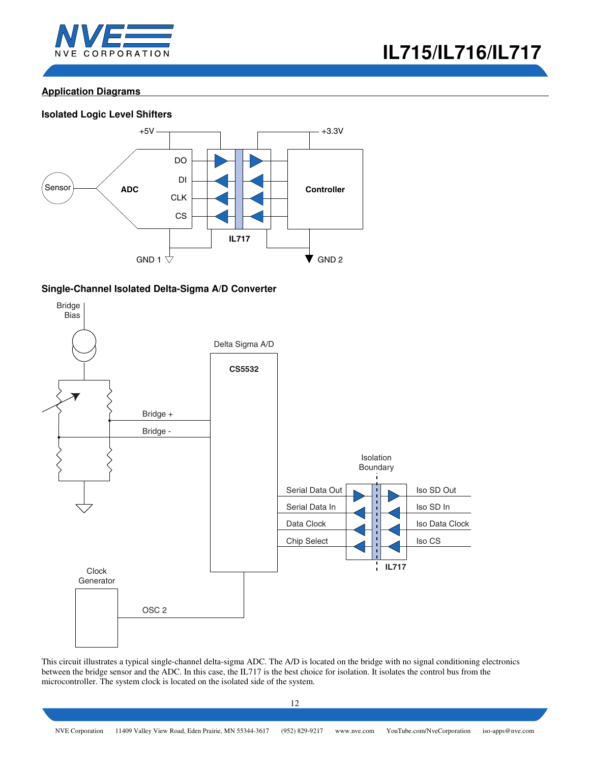



# **Application Diagrams**

## **Isolated Logic Level Shifters**



## **Single-Channel Isolated Delta-Sigma A/D Converter**



This circuit illustrates a typical single-channel delta-sigma ADC. The A/D is located on the bridge with no signal conditioning electronics between the bridge sensor and the ADC. In this case, the IL717 is the best choice for isolation. It isolates the control bus from the microcontroller. The system clock is located on the isolated side of the system.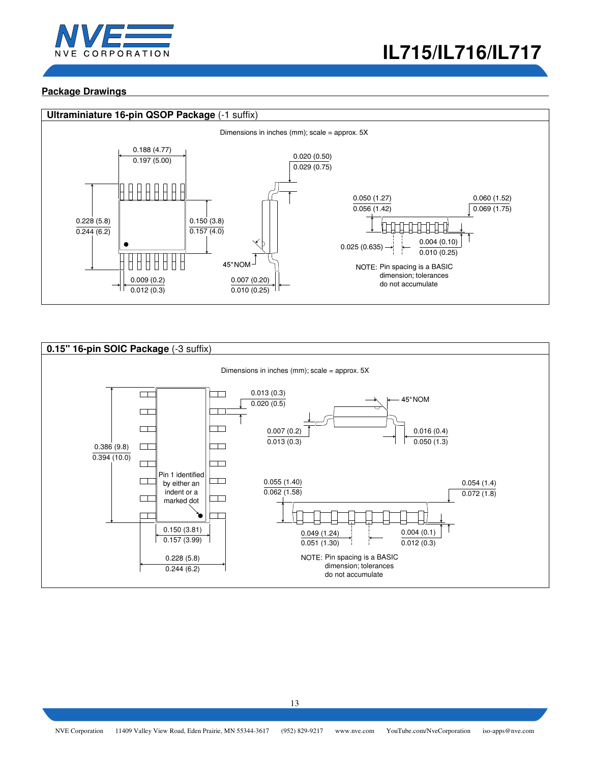

## **Package Drawings**



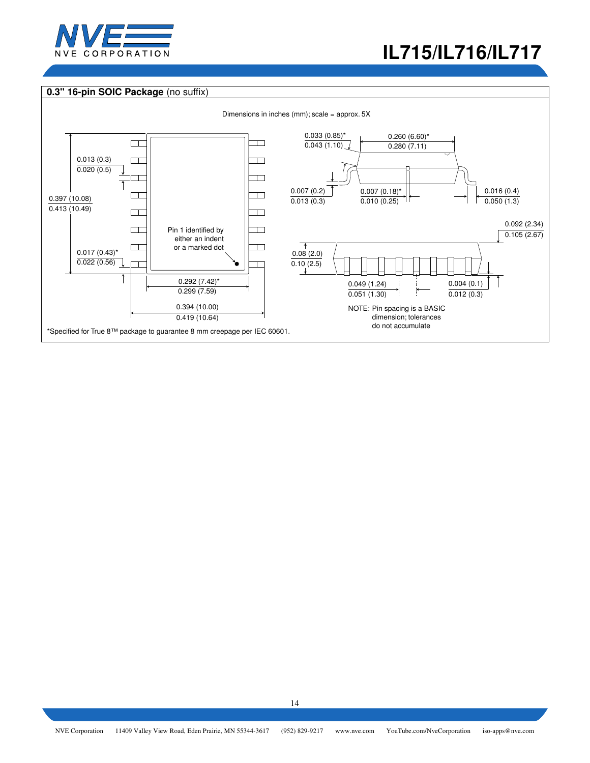

# **0.3" 16-pin SOIC Package** (no suffix)

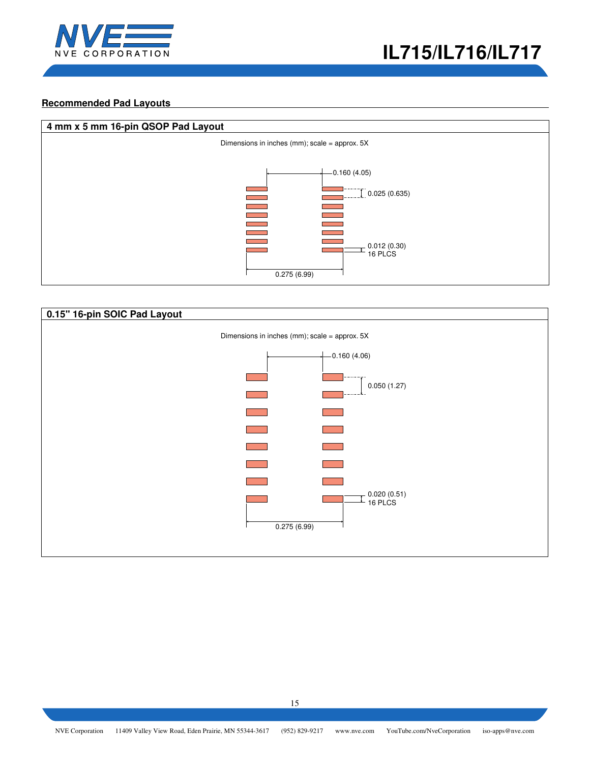

## **Recommended Pad Layouts**



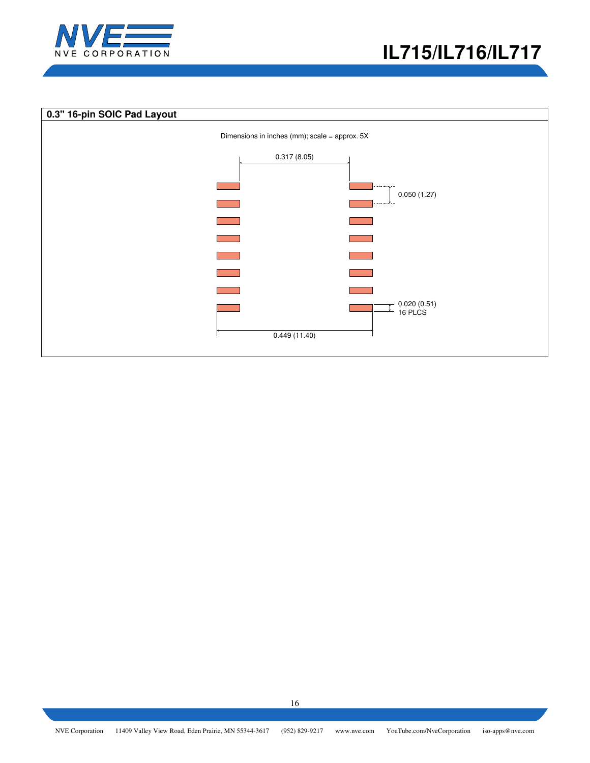

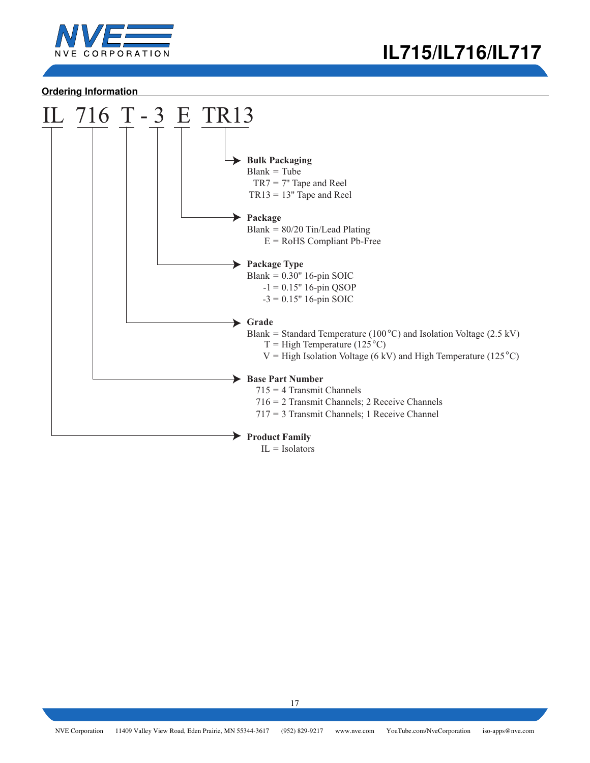

## **Ordering Information**

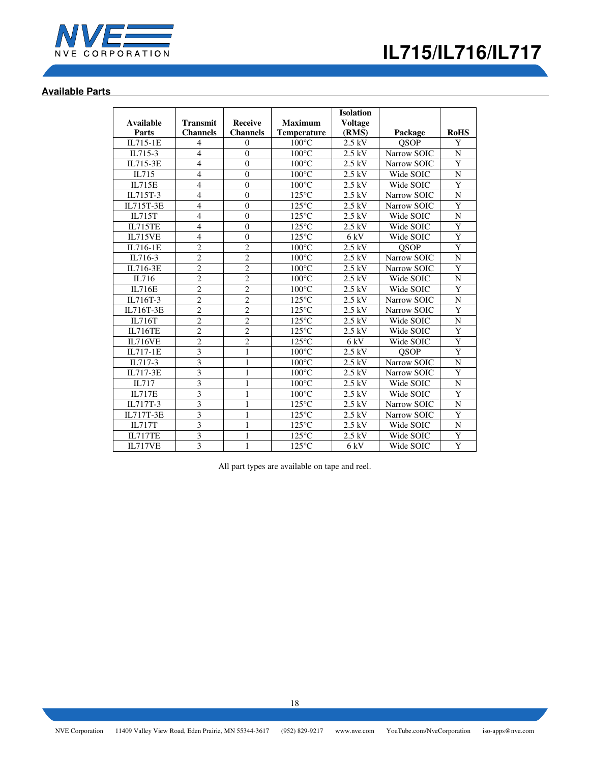

# **Available Parts**

|                |                 |                  |                    | <b>Isolation</b>  |             |                    |
|----------------|-----------------|------------------|--------------------|-------------------|-------------|--------------------|
| Available      | <b>Transmit</b> | <b>Receive</b>   | <b>Maximum</b>     | <b>Voltage</b>    |             |                    |
| Parts          | <b>Channels</b> | <b>Channels</b>  | <b>Temperature</b> | (RMS)             | Package     | <b>RoHS</b>        |
| IL715-1E       | 4               | $\mathbf{0}$     | $100^{\circ}$ C    | $2.5~\mathrm{kV}$ | QSOP        | Y                  |
| IL715-3        | $\overline{4}$  | $\overline{0}$   | $100^{\circ}$ C    | $2.5$ kV          | Narrow SOIC | ${\bf N}$          |
| IL715-3E       | $\overline{4}$  | $\overline{0}$   | $100^{\circ}$ C    | 2.5 kV            | Narrow SOIC | $\overline{Y}$     |
| IL715          | $\overline{4}$  | $\theta$         | $100^{\circ}$ C    | $2.5$ kV          | Wide SOIC   | $\overline{N}$     |
| <b>IL715E</b>  | $\overline{4}$  | $\overline{0}$   | $100^{\circ}$ C    | $2.5$ kV          | Wide SOIC   | Y                  |
| IL715T-3       | $\overline{4}$  | $\theta$         | $125^{\circ}$ C    | $2.5$ kV          | Narrow SOIC | ${\bf N}$          |
| IL715T-3E      | $\overline{4}$  | $\overline{0}$   | $125^{\circ}$ C    | $2.5$ kV          | Narrow SOIC | $\overline{Y}$     |
| IL715T         | $\overline{4}$  | $\mathbf{0}$     | $125^{\circ}$ C    | $2.5$ kV          | Wide SOIC   | $\mathbf N$        |
| <b>IL715TE</b> | $\overline{4}$  | $\mathbf{0}$     | $125^{\circ}$ C    | $2.5$ kV          | Wide SOIC   | $\overline{Y}$     |
| <b>IL715VE</b> | $\overline{4}$  | $\boldsymbol{0}$ | $125^{\circ}$ C    | 6 kV              | Wide SOIC   | $\overline{Y}$     |
| IL716-1E       | $\overline{2}$  | $\overline{c}$   | $100^{\circ}$ C    | $2.5$ kV          | <b>QSOP</b> | Y                  |
| IL716-3        | $\overline{2}$  | $\overline{2}$   | $100^{\circ}$ C    | 2.5 kV            | Narrow SOIC | $\overline{\rm N}$ |
| IL716-3E       | $\overline{2}$  | $\overline{c}$   | $100^{\circ}$ C    | $2.5$ kV          | Narrow SOIC | Y                  |
| IL716          | $\overline{2}$  | $\overline{c}$   | $100^{\circ}$ C    | $2.5$ kV          | Wide SOIC   | N                  |
| <b>IL716E</b>  | $\overline{2}$  | $\overline{2}$   | $100^{\circ}$ C    | $2.5$ kV          | Wide SOIC   | $\overline{Y}$     |
| IL716T-3       | $\overline{c}$  | $\overline{c}$   | $125^{\circ}$ C    | $2.5$ kV          | Narrow SOIC | ${\bf N}$          |
| IL716T-3E      | $\overline{2}$  | $\overline{2}$   | $125^{\circ}$ C    | $2.5$ kV          | Narrow SOIC | Y                  |
| IL716T         | $\overline{2}$  | $\overline{c}$   | $125^{\circ}$ C    | $2.5$ kV          | Wide SOIC   | $\mathbf N$        |
| <b>IL716TE</b> | $\overline{2}$  | $\overline{2}$   | $125^{\circ}$ C    | $2.5$ kV          | Wide SOIC   | Y                  |
| IL716VE        | $\overline{2}$  | $\overline{2}$   | $125^{\circ}$ C    | 6 kV              | Wide SOIC   | $\overline{Y}$     |
| IL717-1E       | $\overline{3}$  | $\mathbf{1}$     | $100^{\circ}$ C    | $2.5$ kV          | <b>OSOP</b> | $\overline{Y}$     |
| IL717-3        | $\overline{3}$  | 1                | $100^{\circ}$ C    | $2.5$ kV          | Narrow SOIC | ${\bf N}$          |
| IL717-3E       | $\overline{3}$  | $\mathbf{1}$     | $100^{\circ}$ C    | $2.5$ kV          | Narrow SOIC | $\overline{Y}$     |
| IL717          | $\overline{3}$  | $\mathbf{1}$     | $100^{\circ}$ C    | 2.5 kV            | Wide SOIC   | ${\bf N}$          |
| <b>IL717E</b>  | $\overline{3}$  | $\mathbf{1}$     | $100^{\circ}$ C    | $2.5$ kV          | Wide SOIC   | $\overline{Y}$     |
| IL717T-3       | 3               | $\mathbf{1}$     | $125^{\circ}$ C    | $2.5$ kV          | Narrow SOIC | $\mathbf N$        |
| IL717T-3E      | 3               | 1                | $125^{\circ}$ C    | $2.5$ kV          | Narrow SOIC | $\overline{Y}$     |
| IL717T         | $\overline{3}$  | $\mathbf{1}$     | $125^{\circ}$ C    | $2.5$ kV          | Wide SOIC   | $\mathbf N$        |
| IL717TE        | 3               | 1                | $125^{\circ}$ C    | 2.5 kV            | Wide SOIC   | Y                  |
| <b>IL717VE</b> | $\overline{3}$  | $\mathbf{1}$     | $125^{\circ}$ C    | 6 kV              | Wide SOIC   | $\overline{Y}$     |

All part types are available on tape and reel.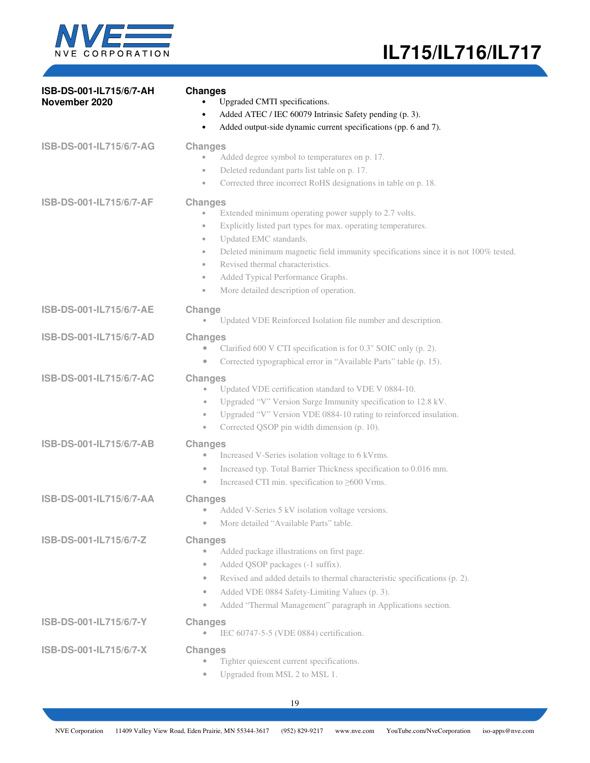

| ISB-DS-001-IL715/6/7-AH<br>November 2020 | <b>Changes</b><br>Upgraded CMTI specifications.<br>Added ATEC / IEC 60079 Intrinsic Safety pending (p. 3).<br>٠<br>Added output-side dynamic current specifications (pp. 6 and 7).<br>٠                                                                                                                                                                                                                                                                                  |
|------------------------------------------|--------------------------------------------------------------------------------------------------------------------------------------------------------------------------------------------------------------------------------------------------------------------------------------------------------------------------------------------------------------------------------------------------------------------------------------------------------------------------|
| ISB-DS-001-IL715/6/7-AG                  | <b>Changes</b><br>Added degree symbol to temperatures on p. 17.<br>$\bullet$<br>Deleted redundant parts list table on p. 17.<br>$\bullet$<br>Corrected three incorrect RoHS designations in table on p. 18.<br>$\qquad \qquad \circ$                                                                                                                                                                                                                                     |
| ISB-DS-001-IL715/6/7-AF                  | <b>Changes</b><br>Extended minimum operating power supply to 2.7 volts.<br>$\bullet$<br>Explicitly listed part types for max. operating temperatures.<br>$\bullet$<br>Updated EMC standards.<br>$\bullet$<br>Deleted minimum magnetic field immunity specifications since it is not 100% tested.<br>$\bullet$<br>Revised thermal characteristics.<br>$\bullet$<br>Added Typical Performance Graphs.<br>$\bullet$<br>More detailed description of operation.<br>$\bullet$ |
| ISB-DS-001-IL715/6/7-AE                  | Change<br>Updated VDE Reinforced Isolation file number and description.                                                                                                                                                                                                                                                                                                                                                                                                  |
| ISB-DS-001-IL715/6/7-AD                  | <b>Changes</b><br>Clarified 600 V CTI specification is for 0.3" SOIC only (p. 2).<br>Corrected typographical error in "Available Parts" table (p. 15).<br>$\bullet$                                                                                                                                                                                                                                                                                                      |
| ISB-DS-001-IL715/6/7-AC                  | <b>Changes</b><br>Updated VDE certification standard to VDE V 0884-10.<br>$\qquad \qquad \bullet$<br>Upgraded "V" Version Surge Immunity specification to 12.8 kV.<br>$\bullet$<br>Upgraded "V" Version VDE 0884-10 rating to reinforced insulation.<br>$\bullet$<br>Corrected QSOP pin width dimension (p. 10).<br>$\bullet$                                                                                                                                            |
| ISB-DS-001-IL715/6/7-AB                  | <b>Changes</b><br>Increased V-Series isolation voltage to 6 kVrms.<br>$\bullet$<br>Increased typ. Total Barrier Thickness specification to 0.016 mm.<br>$\bullet$<br>Increased CTI min. specification to $\geq 600$ Vrms.<br>$\qquad \qquad \bullet$                                                                                                                                                                                                                     |
| ISB-DS-001-IL715/6/7-AA                  | <b>Changes</b><br>Added V-Series 5 kV isolation voltage versions.<br>۰<br>More detailed "Available Parts" table.<br>۰                                                                                                                                                                                                                                                                                                                                                    |
| ISB-DS-001-IL715/6/7-Z                   | <b>Changes</b><br>Added package illustrations on first page.<br>$\qquad \qquad \bullet$<br>Added QSOP packages (-1 suffix).<br>$\bullet$<br>Revised and added details to thermal characteristic specifications (p. 2).<br>$\bullet$<br>Added VDE 0884 Safety-Limiting Values (p. 3).<br>$\bullet$<br>Added "Thermal Management" paragraph in Applications section.<br>$\bullet$                                                                                          |
| ISB-DS-001-IL715/6/7-Y                   | <b>Changes</b><br>IEC 60747-5-5 (VDE 0884) certification.<br>$\bullet$                                                                                                                                                                                                                                                                                                                                                                                                   |
| ISB-DS-001-IL715/6/7-X                   | <b>Changes</b><br>Tighter quiescent current specifications.<br>$\bullet$<br>Upgraded from MSL 2 to MSL 1.                                                                                                                                                                                                                                                                                                                                                                |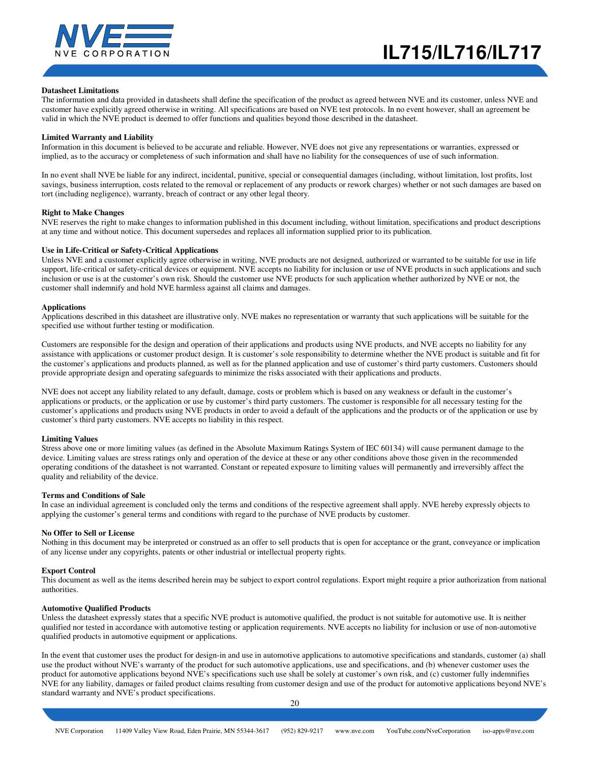

#### **Datasheet Limitations**

The information and data provided in datasheets shall define the specification of the product as agreed between NVE and its customer, unless NVE and customer have explicitly agreed otherwise in writing. All specifications are based on NVE test protocols. In no event however, shall an agreement be valid in which the NVE product is deemed to offer functions and qualities beyond those described in the datasheet.

#### **Limited Warranty and Liability**

Information in this document is believed to be accurate and reliable. However, NVE does not give any representations or warranties, expressed or implied, as to the accuracy or completeness of such information and shall have no liability for the consequences of use of such information.

In no event shall NVE be liable for any indirect, incidental, punitive, special or consequential damages (including, without limitation, lost profits, lost savings, business interruption, costs related to the removal or replacement of any products or rework charges) whether or not such damages are based on tort (including negligence), warranty, breach of contract or any other legal theory.

#### **Right to Make Changes**

NVE reserves the right to make changes to information published in this document including, without limitation, specifications and product descriptions at any time and without notice. This document supersedes and replaces all information supplied prior to its publication.

#### **Use in Life-Critical or Safety-Critical Applications**

Unless NVE and a customer explicitly agree otherwise in writing, NVE products are not designed, authorized or warranted to be suitable for use in life support, life-critical or safety-critical devices or equipment. NVE accepts no liability for inclusion or use of NVE products in such applications and such inclusion or use is at the customer's own risk. Should the customer use NVE products for such application whether authorized by NVE or not, the customer shall indemnify and hold NVE harmless against all claims and damages.

#### **Applications**

Applications described in this datasheet are illustrative only. NVE makes no representation or warranty that such applications will be suitable for the specified use without further testing or modification.

Customers are responsible for the design and operation of their applications and products using NVE products, and NVE accepts no liability for any assistance with applications or customer product design. It is customer's sole responsibility to determine whether the NVE product is suitable and fit for the customer's applications and products planned, as well as for the planned application and use of customer's third party customers. Customers should provide appropriate design and operating safeguards to minimize the risks associated with their applications and products.

NVE does not accept any liability related to any default, damage, costs or problem which is based on any weakness or default in the customer's applications or products, or the application or use by customer's third party customers. The customer is responsible for all necessary testing for the customer's applications and products using NVE products in order to avoid a default of the applications and the products or of the application or use by customer's third party customers. NVE accepts no liability in this respect.

#### **Limiting Values**

Stress above one or more limiting values (as defined in the Absolute Maximum Ratings System of IEC 60134) will cause permanent damage to the device. Limiting values are stress ratings only and operation of the device at these or any other conditions above those given in the recommended operating conditions of the datasheet is not warranted. Constant or repeated exposure to limiting values will permanently and irreversibly affect the quality and reliability of the device.

#### **Terms and Conditions of Sale**

In case an individual agreement is concluded only the terms and conditions of the respective agreement shall apply. NVE hereby expressly objects to applying the customer's general terms and conditions with regard to the purchase of NVE products by customer.

#### **No Offer to Sell or License**

Nothing in this document may be interpreted or construed as an offer to sell products that is open for acceptance or the grant, conveyance or implication of any license under any copyrights, patents or other industrial or intellectual property rights.

#### **Export Control**

This document as well as the items described herein may be subject to export control regulations. Export might require a prior authorization from national authorities.

#### **Automotive Qualified Products**

Unless the datasheet expressly states that a specific NVE product is automotive qualified, the product is not suitable for automotive use. It is neither qualified nor tested in accordance with automotive testing or application requirements. NVE accepts no liability for inclusion or use of non-automotive qualified products in automotive equipment or applications.

In the event that customer uses the product for design-in and use in automotive applications to automotive specifications and standards, customer (a) shall use the product without NVE's warranty of the product for such automotive applications, use and specifications, and (b) whenever customer uses the product for automotive applications beyond NVE's specifications such use shall be solely at customer's own risk, and (c) customer fully indemnifies NVE for any liability, damages or failed product claims resulting from customer design and use of the product for automotive applications beyond NVE's standard warranty and NVE's product specifications.